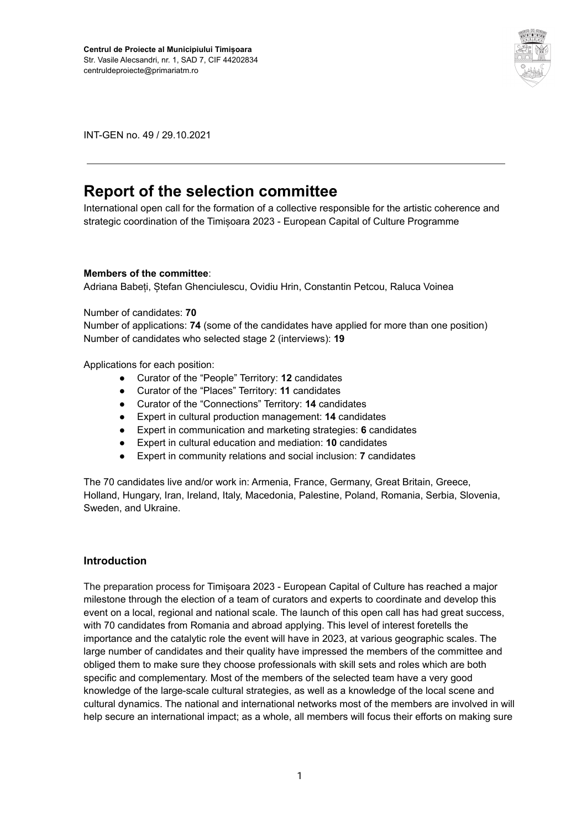

INT-GEN no. 49 / 29.10.2021

# **Report of the selection committee**

International open call for the formation of a collective responsible for the artistic coherence and strategic coordination of the Timișoara 2023 - European Capital of Culture Programme

#### **Members of the committee**:

Adriana Babeți, Ștefan Ghenciulescu, Ovidiu Hrin, Constantin Petcou, Raluca Voinea

#### Number of candidates: **70**

Number of applications: **74** (some of the candidates have applied for more than one position) Number of candidates who selected stage 2 (interviews): **19**

Applications for each position:

- Curator of the "People" Territory: **12** candidates
- Curator of the "Places" Territory: **11** candidates
- Curator of the "Connections" Territory: **14** candidates
- Expert in cultural production management: **14** candidates
- Expert in communication and marketing strategies: **6** candidates
- Expert in cultural education and mediation: **10** candidates
- Expert in community relations and social inclusion: **7** candidates

The 70 candidates live and/or work in: Armenia, France, Germany, Great Britain, Greece, Holland, Hungary, Iran, Ireland, Italy, Macedonia, Palestine, Poland, Romania, Serbia, Slovenia, Sweden, and Ukraine.

#### **Introduction**

The preparation process for Timișoara 2023 - European Capital of Culture has reached a major milestone through the election of a team of curators and experts to coordinate and develop this event on a local, regional and national scale. The launch of this open call has had great success, with 70 candidates from Romania and abroad applying. This level of interest foretells the importance and the catalytic role the event will have in 2023, at various geographic scales. The large number of candidates and their quality have impressed the members of the committee and obliged them to make sure they choose professionals with skill sets and roles which are both specific and complementary. Most of the members of the selected team have a very good knowledge of the large-scale cultural strategies, as well as a knowledge of the local scene and cultural dynamics. The national and international networks most of the members are involved in will help secure an international impact; as a whole, all members will focus their efforts on making sure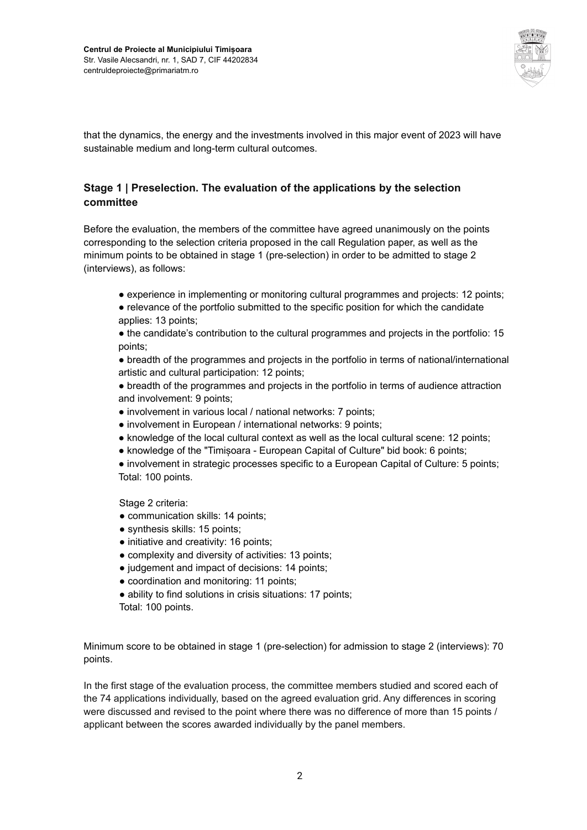

that the dynamics, the energy and the investments involved in this major event of 2023 will have sustainable medium and long-term cultural outcomes.

### **Stage 1 | Preselection. The evaluation of the applications by the selection committee**

Before the evaluation, the members of the committee have agreed unanimously on the points corresponding to the selection criteria proposed in the call Regulation paper, as well as the minimum points to be obtained in stage 1 (pre-selection) in order to be admitted to stage 2 (interviews), as follows:

- experience in implementing or monitoring cultural programmes and projects: 12 points;
- relevance of the portfolio submitted to the specific position for which the candidate applies: 13 points;

● the candidate's contribution to the cultural programmes and projects in the portfolio: 15 points;

• breadth of the programmes and projects in the portfolio in terms of national/international artistic and cultural participation: 12 points;

● breadth of the programmes and projects in the portfolio in terms of audience attraction and involvement: 9 points;

- involvement in various local / national networks: 7 points;
- involvement in European / international networks: 9 points;
- knowledge of the local cultural context as well as the local cultural scene: 12 points;
- knowledge of the "Timișoara European Capital of Culture" bid book: 6 points;

● involvement in strategic processes specific to a European Capital of Culture: 5 points; Total: 100 points.

Stage 2 criteria:

- communication skills: 14 points;
- synthesis skills: 15 points;
- initiative and creativity: 16 points;
- complexity and diversity of activities: 13 points;
- judgement and impact of decisions: 14 points;
- coordination and monitoring: 11 points;
- ability to find solutions in crisis situations: 17 points; Total: 100 points.

Minimum score to be obtained in stage 1 (pre-selection) for admission to stage 2 (interviews): 70 points.

In the first stage of the evaluation process, the committee members studied and scored each of the 74 applications individually, based on the agreed evaluation grid. Any differences in scoring were discussed and revised to the point where there was no difference of more than 15 points / applicant between the scores awarded individually by the panel members.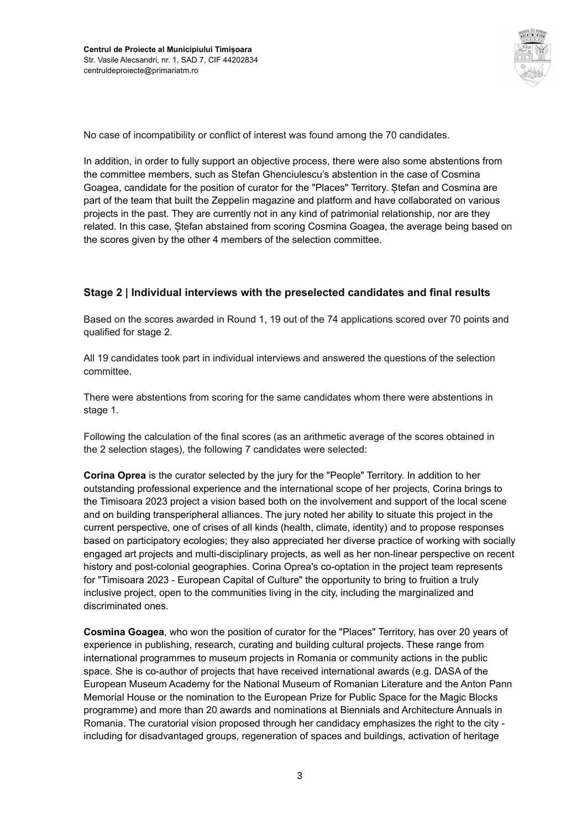

No case of incompatibility or conflict of interest was found among the 70 candidates.

In addition, in order to fully support an objective process, there were also some abstentions from the committee members, such as Stefan Ghenciulescu's abstention in the case of Cosmina Goagea, candidate for the position of curator for the "Places" Territory. Ștefan and Cosmina are part of the team that built the Zeppelin magazine and platform and have collaborated on various projects in the past. They are currently not in any kind of patrimonial relationship, nor are they related. In this case, Ștefan abstained from scoring Cosmina Goagea, the average being based on the scores given by the other 4 members of the selection committee.

#### **Stage 2 | Individual interviews with the preselected candidates and final results**

Based on the scores awarded in Round 1, 19 out of the 74 applications scored over 70 points and qualified for stage 2.

All 19 candidates took part in individual interviews and answered the questions of the selection committee.

There were abstentions from scoring for the same candidates whom there were abstentions in stage 1.

Following the calculation of the final scores (as an arithmetic average of the scores obtained in the 2 selection stages), the following 7 candidates were selected:

**Corina Oprea** is the curator selected by the jury for the "People" Territory. In addition to her outstanding professional experience and the international scope of her projects, Corina brings to the Timisoara 2023 project a vision based both on the involvement and support of the local scene and on building transperipheral alliances. The jury noted her ability to situate this project in the current perspective, one of crises of all kinds (health, climate, identity) and to propose responses based on participatory ecologies; they also appreciated her diverse practice of working with socially engaged art projects and multi-disciplinary projects, as well as her non-linear perspective on recent history and post-colonial geographies. Corina Oprea's co-optation in the project team represents for "Timisoara 2023 - European Capital of Culture" the opportunity to bring to fruition a truly inclusive project, open to the communities living in the city, including the marginalized and discriminated ones.

**Cosmina Goagea**, who won the position of curator for the "Places" Territory, has over 20 years of experience in publishing, research, curating and building cultural projects. These range from international programmes to museum projects in Romania or community actions in the public space. She is co-author of projects that have received international awards (e.g. DASA of the European Museum Academy for the National Museum of Romanian Literature and the Anton Pann Memorial House or the nomination to the European Prize for Public Space for the Magic Blocks programme) and more than 20 awards and nominations at Biennials and Architecture Annuals in Romania. The curatorial vision proposed through her candidacy emphasizes the right to the city including for disadvantaged groups, regeneration of spaces and buildings, activation of heritage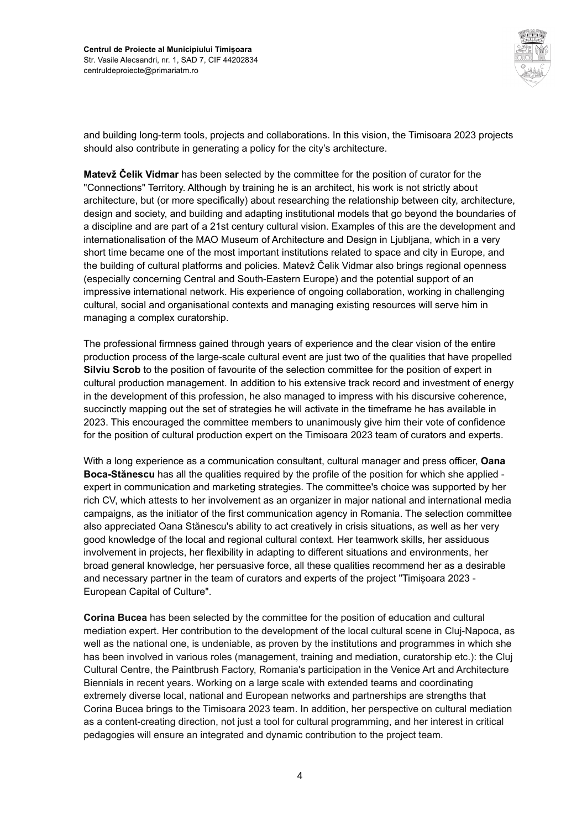

and building long-term tools, projects and collaborations. In this vision, the Timisoara 2023 projects should also contribute in generating a policy for the city's architecture.

**Matevž Čelik Vidmar** has been selected by the committee for the position of curator for the "Connections" Territory. Although by training he is an architect, his work is not strictly about architecture, but (or more specifically) about researching the relationship between city, architecture, design and society, and building and adapting institutional models that go beyond the boundaries of a discipline and are part of a 21st century cultural vision. Examples of this are the development and internationalisation of the MAO Museum of Architecture and Design in Ljubljana, which in a very short time became one of the most important institutions related to space and city in Europe, and the building of cultural platforms and policies. Matevž Čelik Vidmar also brings regional openness (especially concerning Central and South-Eastern Europe) and the potential support of an impressive international network. His experience of ongoing collaboration, working in challenging cultural, social and organisational contexts and managing existing resources will serve him in managing a complex curatorship.

The professional firmness gained through years of experience and the clear vision of the entire production process of the large-scale cultural event are just two of the qualities that have propelled **Silviu Scrob** to the position of favourite of the selection committee for the position of expert in cultural production management. In addition to his extensive track record and investment of energy in the development of this profession, he also managed to impress with his discursive coherence, succinctly mapping out the set of strategies he will activate in the timeframe he has available in 2023. This encouraged the committee members to unanimously give him their vote of confidence for the position of cultural production expert on the Timisoara 2023 team of curators and experts.

With a long experience as a communication consultant, cultural manager and press officer, **Oana Boca-Stănescu** has all the qualities required by the profile of the position for which she applied expert in communication and marketing strategies. The committee's choice was supported by her rich CV, which attests to her involvement as an organizer in major national and international media campaigns, as the initiator of the first communication agency in Romania. The selection committee also appreciated Oana Stănescu's ability to act creatively in crisis situations, as well as her very good knowledge of the local and regional cultural context. Her teamwork skills, her assiduous involvement in projects, her flexibility in adapting to different situations and environments, her broad general knowledge, her persuasive force, all these qualities recommend her as a desirable and necessary partner in the team of curators and experts of the project "Timișoara 2023 - European Capital of Culture".

**Corina Bucea** has been selected by the committee for the position of education and cultural mediation expert. Her contribution to the development of the local cultural scene in Cluj-Napoca, as well as the national one, is undeniable, as proven by the institutions and programmes in which she has been involved in various roles (management, training and mediation, curatorship etc.): the Cluj Cultural Centre, the Paintbrush Factory, Romania's participation in the Venice Art and Architecture Biennials in recent years. Working on a large scale with extended teams and coordinating extremely diverse local, national and European networks and partnerships are strengths that Corina Bucea brings to the Timisoara 2023 team. In addition, her perspective on cultural mediation as a content-creating direction, not just a tool for cultural programming, and her interest in critical pedagogies will ensure an integrated and dynamic contribution to the project team.